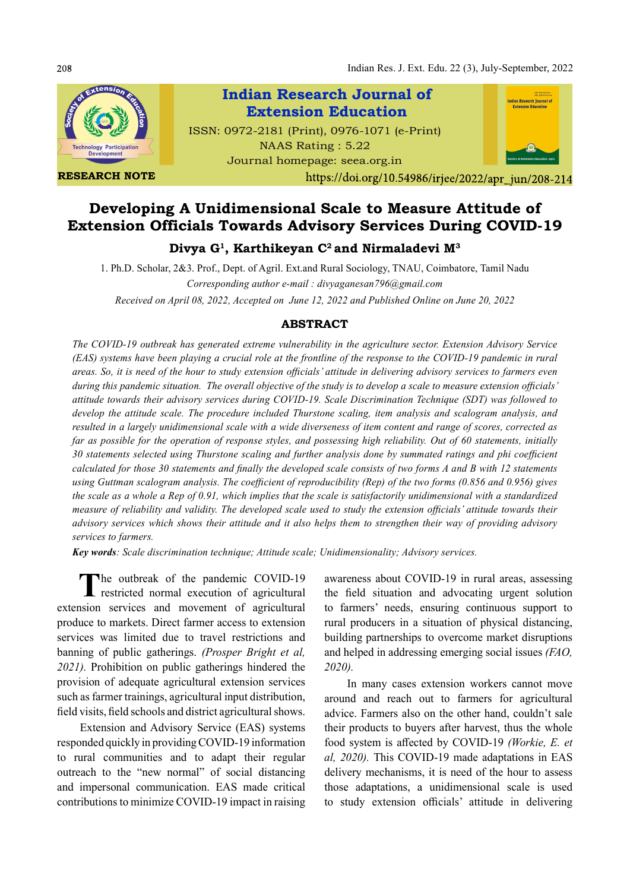Indian Res. J. Ext. Edu. 22 (3), July-September, 2022



# Developing A Unidimensional Scale to Measure Attitude of Extension Officials Towards Advisory Services During COVID-19

## Divya G<sup>1</sup>, Karthikeyan C<sup>2</sup> and Nirmaladevi M<sup>3</sup>

1. Ph.D. Scholar, 2&3. Prof., Dept. of Agril. Ext.and Rural Sociology, TNAU, Coimbatore, Tamil Nadu Corresponding author e-mail : divyaganesan796@gmail.com Received on April 08, 2022, Accepted on June 12, 2022 and Published Online on June 20, 2022

### ABSTRACT

The COVID-19 outbreak has generated extreme vulnerability in the agriculture sector. Extension Advisory Service (EAS) systems have been playing a crucial role at the frontline of the response to the COVID-19 pandemic in rural areas. So, it is need of the hour to study extension officials' attitude in delivering advisory services to farmers even during this pandemic situation. The overall objective of the study is to develop a scale to measure extension officials' attitude towards their advisory services during COVID-19. Scale Discrimination Technique (SDT) was followed to develop the attitude scale. The procedure included Thurstone scaling, item analysis and scalogram analysis, and resulted in a largely unidimensional scale with a wide diverseness of item content and range of scores, corrected as far as possible for the operation of response styles, and possessing high reliability. Out of 60 statements, initially 30 statements selected using Thurstone scaling and further analysis done by summated ratings and phi coefficient calculated for those 30 statements and finally the developed scale consists of two forms A and B with 12 statements using Guttman scalogram analysis. The coefficient of reproducibility (Rep) of the two forms (0.856 and 0.956) gives the scale as a whole a Rep of 0.91, which implies that the scale is satisfactorily unidimensional with a standardized measure of reliability and validity. The developed scale used to study the extension officials' attitude towards their advisory services which shows their attitude and it also helps them to strengthen their way of providing advisory services to farmers.

Key words: Scale discrimination technique; Attitude scale; Unidimensionality; Advisory services.

The outbreak of the pandemic COVID-19 awareness abo<br>restricted normal execution of agricultural the field situation The outbreak of the pandemic COVID-19 extension services and movement of agricultural produce to markets. Direct farmer access to extension services was limited due to travel restrictions and banning of public gatherings. (Prosper Bright et al, 2021). Prohibition on public gatherings hindered the provision of adequate agricultural extension services such as farmer trainings, agricultural input distribution, field visits, field schools and district agricultural shows.

Extension and Advisory Service (EAS) systems responded quickly in providing COVID-19 information to rural communities and to adapt their regular outreach to the "new normal" of social distancing and impersonal communication. EAS made critical contributions to minimize COVID-19 impact in raising awareness about COVID-19 in rural areas, assessing the field situation and advocating urgent solution to farmers' needs, ensuring continuous support to rural producers in a situation of physical distancing, building partnerships to overcome market disruptions and helped in addressing emerging social issues (FAO, 2020).

In many cases extension workers cannot move around and reach out to farmers for agricultural advice. Farmers also on the other hand, couldn't sale their products to buyers after harvest, thus the whole food system is affected by COVID-19 (Workie, E. et al, 2020). This COVID-19 made adaptations in EAS delivery mechanisms, it is need of the hour to assess those adaptations, a unidimensional scale is used to study extension officials' attitude in delivering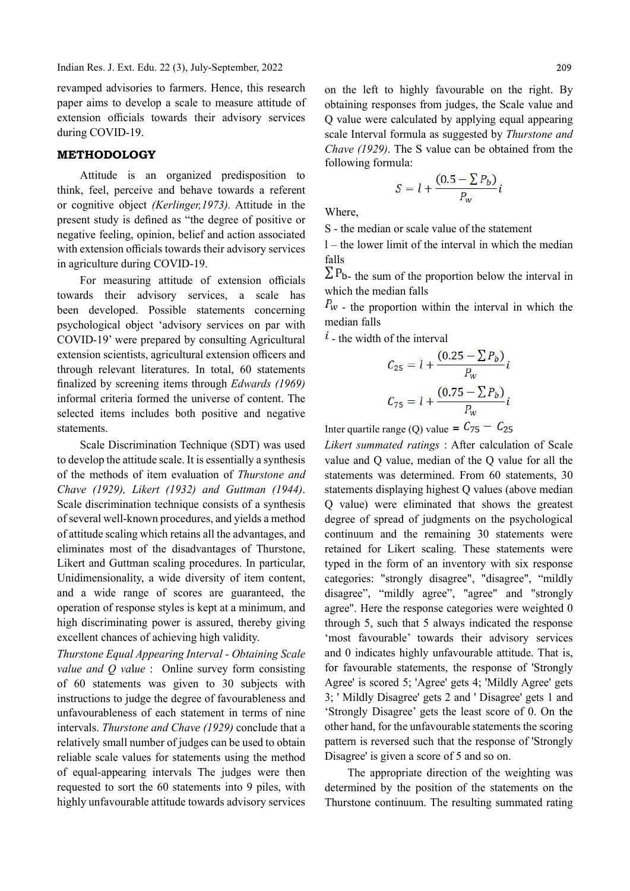revamped advisories to farmers. Hence, this research paper aims to develop a scale to measure attitude of extension officials towards their advisory services during COVID-19.

#### METHODOLOGY

Attitude is an organized predisposition to think, feel, perceive and behave towards a referent or cognitive object (Kerlinger,1973). Attitude in the present study is defined as "the degree of positive or negative feeling, opinion, belief and action associated with extension officials towards their advisory services in agriculture during COVID-19.

For measuring attitude of extension officials towards their advisory services, a scale has been developed. Possible statements concerning psychological object 'advisory services on par with COVID-19' were prepared by consulting Agricultural extension scientists, agricultural extension officers and through relevant literatures. In total, 60 statements finalized by screening items through Edwards (1969) informal criteria formed the universe of content. The selected items includes both positive and negative statements.

Scale Discrimination Technique (SDT) was used to develop the attitude scale. It is essentially a synthesis of the methods of item evaluation of Thurstone and Chave (1929), Likert (1932) and Guttman (1944). Scale discrimination technique consists of a synthesis of several well-known procedures, and yields a method of attitude scaling which retains all the advantages, and eliminates most of the disadvantages of Thurstone, Likert and Guttman scaling procedures. In particular, Unidimensionality, a wide diversity of item content, and a wide range of scores are guaranteed, the operation of response styles is kept at a minimum, and high discriminating power is assured, thereby giving excellent chances of achieving high validity.

Thurstone Equal Appearing Interval - Obtaining Scale value and *Q* value : Online survey form consisting of 60 statements was given to 30 subjects with instructions to judge the degree of favourableness and unfavourableness of each statement in terms of nine intervals. Thurstone and Chave (1929) conclude that a relatively small number of judges can be used to obtain reliable scale values for statements using the method of equal-appearing intervals The judges were then requested to sort the 60 statements into 9 piles, with highly unfavourable attitude towards advisory services

$$
S = l + \frac{(0.5 - \sum P_b)}{P_w}i
$$

Where,

S - the median or scale value of the statement

l – the lower limit of the interval in which the median falls

 $\Sigma P_{b}$ - the sum of the proportion below the interval in which the median falls

 $P_w$  - the proportion within the interval in which the median falls

 $i$  - the width of the interval

$$
C_{25} = l + \frac{(0.25 - \sum P_b)}{P_w} i
$$

$$
C_{75} = l + \frac{(0.75 - \sum P_b)}{P_w} i
$$

Inter quartile range (O) value =  $C_{75} - C_{25}$ 

Likert summated ratings : After calculation of Scale value and Q value, median of the Q value for all the statements was determined. From 60 statements, 30 statements displaying highest Q values (above median Q value) were eliminated that shows the greatest degree of spread of judgments on the psychological continuum and the remaining 30 statements were retained for Likert scaling. These statements were typed in the form of an inventory with six response categories: "strongly disagree", "disagree", "mildly disagree", "mildly agree", "agree" and "strongly agree". Here the response categories were weighted 0 through 5, such that 5 always indicated the response 'most favourable' towards their advisory services and 0 indicates highly unfavourable attitude. That is, for favourable statements, the response of 'Strongly Agree' is scored 5; 'Agree' gets 4; 'Mildly Agree' gets 3; ' Mildly Disagree' gets 2 and ' Disagree' gets 1 and 'Strongly Disagree' gets the least score of 0. On the other hand, for the unfavourable statements the scoring pattern is reversed such that the response of 'Strongly Disagree' is given a score of 5 and so on.

The appropriate direction of the weighting was determined by the position of the statements on the Thurstone continuum. The resulting summated rating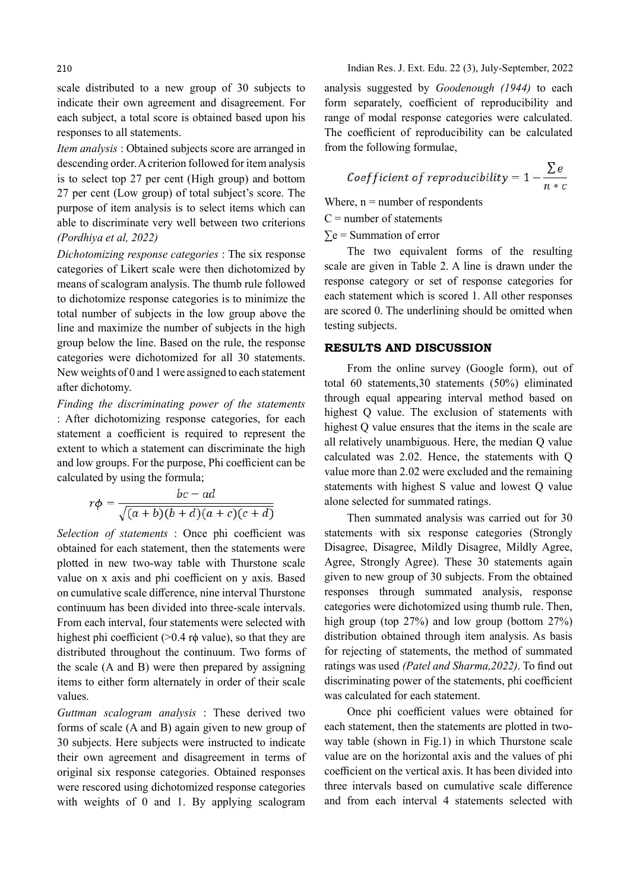scale distributed to a new group of 30 subjects to indicate their own agreement and disagreement. For each subject, a total score is obtained based upon his responses to all statements.

Item analysis : Obtained subjects score are arranged in descending order. A criterion followed for item analysis is to select top 27 per cent (High group) and bottom 27 per cent (Low group) of total subject's score. The purpose of item analysis is to select items which can able to discriminate very well between two criterions (Pordhiya et al, 2022)

Dichotomizing response categories : The six response categories of Likert scale were then dichotomized by means of scalogram analysis. The thumb rule followed to dichotomize response categories is to minimize the total number of subjects in the low group above the line and maximize the number of subjects in the high group below the line. Based on the rule, the response categories were dichotomized for all 30 statements. New weights of 0 and 1 were assigned to each statement after dichotomy.

Finding the discriminating power of the statements : After dichotomizing response categories, for each statement a coefficient is required to represent the extent to which a statement can discriminate the high and low groups. For the purpose, Phi coefficient can be calculated by using the formula;

$$
r\phi = \frac{bc - ad}{\sqrt{(a+b)(b+d)(a+c)(c+d)}}
$$

Selection of statements : Once phi coefficient was obtained for each statement, then the statements were plotted in new two-way table with Thurstone scale value on x axis and phi coefficient on y axis. Based on cumulative scale difference, nine interval Thurstone continuum has been divided into three-scale intervals. From each interval, four statements were selected with highest phi coefficient ( $>0.4$  r $\phi$  value), so that they are distributed throughout the continuum. Two forms of the scale (A and B) were then prepared by assigning items to either form alternately in order of their scale values.

Guttman scalogram analysis : These derived two forms of scale (A and B) again given to new group of 30 subjects. Here subjects were instructed to indicate their own agreement and disagreement in terms of original six response categories. Obtained responses were rescored using dichotomized response categories with weights of 0 and 1. By applying scalogram

analysis suggested by Goodenough (1944) to each form separately, coefficient of reproducibility and range of modal response categories were calculated. The coefficient of reproducibility can be calculated from the following formulae,

*Coefficient of reproducibility* = 
$$
1 - \frac{\sum e}{n * c}
$$

Where,  $n =$  number of respondents

 $C =$  number of statements

 $\Sigma$ e = Summation of error

The two equivalent forms of the resulting scale are given in Table 2. A line is drawn under the response category or set of response categories for each statement which is scored 1. All other responses are scored 0. The underlining should be omitted when testing subjects.

#### RESULTS AND DISCUSSION

From the online survey (Google form), out of total 60 statements,30 statements (50%) eliminated through equal appearing interval method based on highest Q value. The exclusion of statements with highest Q value ensures that the items in the scale are all relatively unambiguous. Here, the median Q value calculated was 2.02. Hence, the statements with Q value more than 2.02 were excluded and the remaining statements with highest S value and lowest Q value alone selected for summated ratings.

Then summated analysis was carried out for 30 statements with six response categories (Strongly Disagree, Disagree, Mildly Disagree, Mildly Agree, Agree, Strongly Agree). These 30 statements again given to new group of 30 subjects. From the obtained responses through summated analysis, response categories were dichotomized using thumb rule. Then, high group (top 27%) and low group (bottom 27%) distribution obtained through item analysis. As basis for rejecting of statements, the method of summated ratings was used (Patel and Sharma, 2022). To find out discriminating power of the statements, phi coefficient was calculated for each statement.

Once phi coefficient values were obtained for each statement, then the statements are plotted in twoway table (shown in Fig.1) in which Thurstone scale value are on the horizontal axis and the values of phi coefficient on the vertical axis. It has been divided into three intervals based on cumulative scale difference and from each interval 4 statements selected with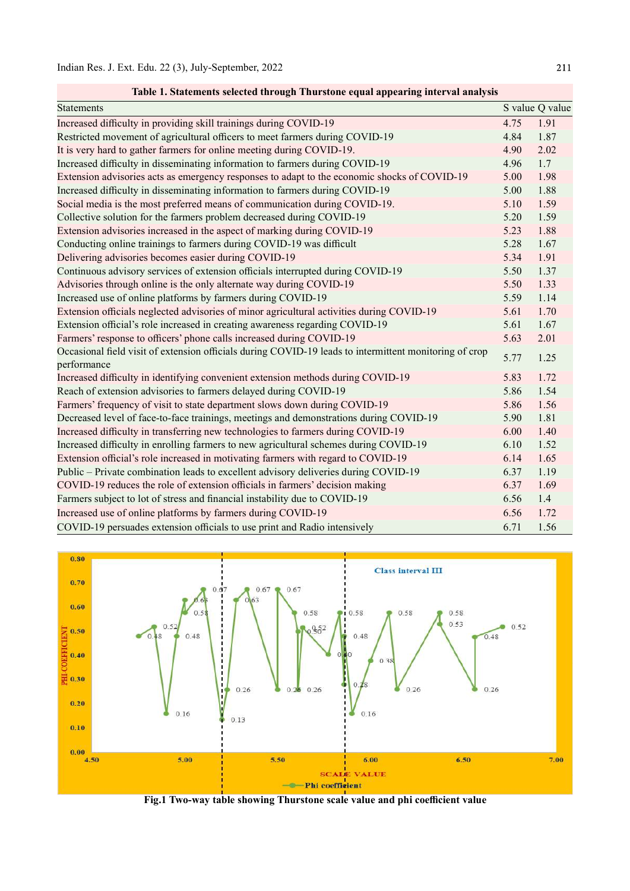| <b>Statements</b>                                                                                                     |      | S value Q value |
|-----------------------------------------------------------------------------------------------------------------------|------|-----------------|
| Increased difficulty in providing skill trainings during COVID-19                                                     | 4.75 | 1.91            |
| Restricted movement of agricultural officers to meet farmers during COVID-19                                          | 4.84 | 1.87            |
| It is very hard to gather farmers for online meeting during COVID-19.                                                 | 4.90 | 2.02            |
| Increased difficulty in disseminating information to farmers during COVID-19                                          | 4.96 | 1.7             |
| Extension advisories acts as emergency responses to adapt to the economic shocks of COVID-19                          | 5.00 | 1.98            |
| Increased difficulty in disseminating information to farmers during COVID-19                                          | 5.00 | 1.88            |
| Social media is the most preferred means of communication during COVID-19.                                            | 5.10 | 1.59            |
| Collective solution for the farmers problem decreased during COVID-19                                                 | 5.20 | 1.59            |
| Extension advisories increased in the aspect of marking during COVID-19                                               | 5.23 | 1.88            |
| Conducting online trainings to farmers during COVID-19 was difficult                                                  | 5.28 | 1.67            |
| Delivering advisories becomes easier during COVID-19                                                                  | 5.34 | 1.91            |
| Continuous advisory services of extension officials interrupted during COVID-19                                       | 5.50 | 1.37            |
| Advisories through online is the only alternate way during COVID-19                                                   | 5.50 | 1.33            |
| Increased use of online platforms by farmers during COVID-19                                                          | 5.59 | 1.14            |
| Extension officials neglected advisories of minor agricultural activities during COVID-19                             | 5.61 | 1.70            |
| Extension official's role increased in creating awareness regarding COVID-19                                          | 5.61 | 1.67            |
| Farmers' response to officers' phone calls increased during COVID-19                                                  | 5.63 | 2.01            |
| Occasional field visit of extension officials during COVID-19 leads to intermittent monitoring of crop<br>performance | 5.77 | 1.25            |
| Increased difficulty in identifying convenient extension methods during COVID-19                                      | 5.83 | 1.72            |
| Reach of extension advisories to farmers delayed during COVID-19                                                      | 5.86 | 1.54            |
| Farmers' frequency of visit to state department slows down during COVID-19                                            | 5.86 | 1.56            |
| Decreased level of face-to-face trainings, meetings and demonstrations during COVID-19                                | 5.90 | 1.81            |
| Increased difficulty in transferring new technologies to farmers during COVID-19                                      | 6.00 | 1.40            |
| Increased difficulty in enrolling farmers to new agricultural schemes during COVID-19                                 | 6.10 | 1.52            |
| Extension official's role increased in motivating farmers with regard to COVID-19                                     | 6.14 | 1.65            |
| Public - Private combination leads to excellent advisory deliveries during COVID-19                                   | 6.37 | 1.19            |
| COVID-19 reduces the role of extension officials in farmers' decision making                                          | 6.37 | 1.69            |
| Farmers subject to lot of stress and financial instability due to COVID-19                                            | 6.56 | 1.4             |
| Increased use of online platforms by farmers during COVID-19                                                          | 6.56 | 1.72            |
| COVID-19 persuades extension officials to use print and Radio intensively                                             | 6.71 | 1.56            |

Table 1. Statements selected through Thurstone equal appearing interval analysis



Fig.1 Two-way table showing Thurstone scale value and phi coefficient value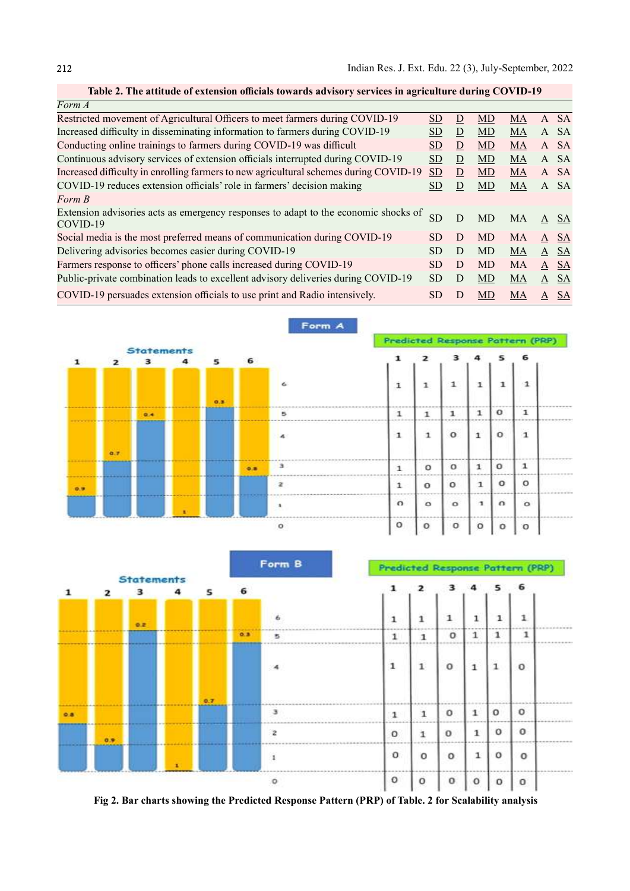| Form A                                                                                          |           |   |           |    |   |          |
|-------------------------------------------------------------------------------------------------|-----------|---|-----------|----|---|----------|
| Restricted movement of Agricultural Officers to meet farmers during COVID-19                    | <b>SD</b> | D | <b>MD</b> | MA |   | A SA     |
| Increased difficulty in disseminating information to farmers during COVID-19                    | SD.       | D | MD        | MA |   | A SA     |
| Conducting online trainings to farmers during COVID-19 was difficult                            | <b>SD</b> | D | <b>MD</b> | MA |   | A SA     |
| Continuous advisory services of extension officials interrupted during COVID-19                 | SD.       | D | MD        | MA |   | A SA     |
| Increased difficulty in enrolling farmers to new agricultural schemes during COVID-19           | <b>SD</b> | D | MD        | MA |   | A SA     |
| COVID-19 reduces extension officials' role in farmers' decision making                          | SD.       | D | MD        | MA |   | A SA     |
| Form B                                                                                          |           |   |           |    |   |          |
| Extension advisories acts as emergency responses to adapt to the economic shocks of<br>COVID-19 | <b>SD</b> | D | <b>MD</b> | MA |   | A SA     |
| Social media is the most preferred means of communication during COVID-19                       | <b>SD</b> | D | <b>MD</b> | MA |   | $A$ SA   |
| Delivering advisories becomes easier during COVID-19                                            | SD.       | D | MD        | MA |   | A SA     |
| Farmers response to officers' phone calls increased during COVID-19                             | SD.       | D | <b>MD</b> | MA |   | $A$ SA   |
| Public-private combination leads to excellent advisory deliveries during COVID-19               | SD.       | D | MD        | MA |   | $A$ $SA$ |
| COVID-19 persuades extension officials to use print and Radio intensively.                      | SD.       | D | <b>MD</b> | MA | A | -SA      |

| Table 2. The attitude of extension officials towards advisory services in agriculture during COVID-19 |  |  |  |
|-------------------------------------------------------------------------------------------------------|--|--|--|
|-------------------------------------------------------------------------------------------------------|--|--|--|



|     |     |                        |     |     | Form B                  |                                                       | Predicted Response Pattern (PRP) |          |              |              |              |  |
|-----|-----|------------------------|-----|-----|-------------------------|-------------------------------------------------------|----------------------------------|----------|--------------|--------------|--------------|--|
|     |     | <b>Statements</b><br>₹ | s   | 6   |                         |                                                       | 2                                |          |              |              | ь            |  |
|     |     |                        |     |     |                         |                                                       |                                  |          |              |              |              |  |
|     |     | 0.2                    |     |     |                         | 1                                                     | 1                                | 1        |              |              |              |  |
|     |     |                        |     | 0.3 |                         | 1<br>49-14039-1-120-2                                 |                                  | $\Omega$ | $\mathbf{1}$ | 1            |              |  |
|     |     |                        |     |     |                         | 1                                                     | $\mathbf{1}$                     | $\circ$  | $\mathbf{1}$ | $\mathbf{1}$ | o            |  |
| 0.8 |     |                        | 0.7 |     | з                       | 1                                                     | 1                                | o        | $\mathbf{1}$ | $\circ$      | $\circ$      |  |
|     | 0.9 |                        |     |     | $\overline{\mathbf{z}}$ | $\circ$                                               | 1                                | $\Omega$ | $\mathbf{1}$ | $\circ$      | $\Omega$<br> |  |
|     |     |                        |     |     |                         | $\Omega$                                              | o                                | $\Omega$ |              | $\circ$      | o            |  |
|     |     |                        |     |     |                         | and an excellent in contract contracts of<br>$\Omega$ | o                                | o        | o            | o            | 0            |  |

Fig 2. Bar charts showing the Predicted Response Pattern (PRP) of Table. 2 for Scalability analysis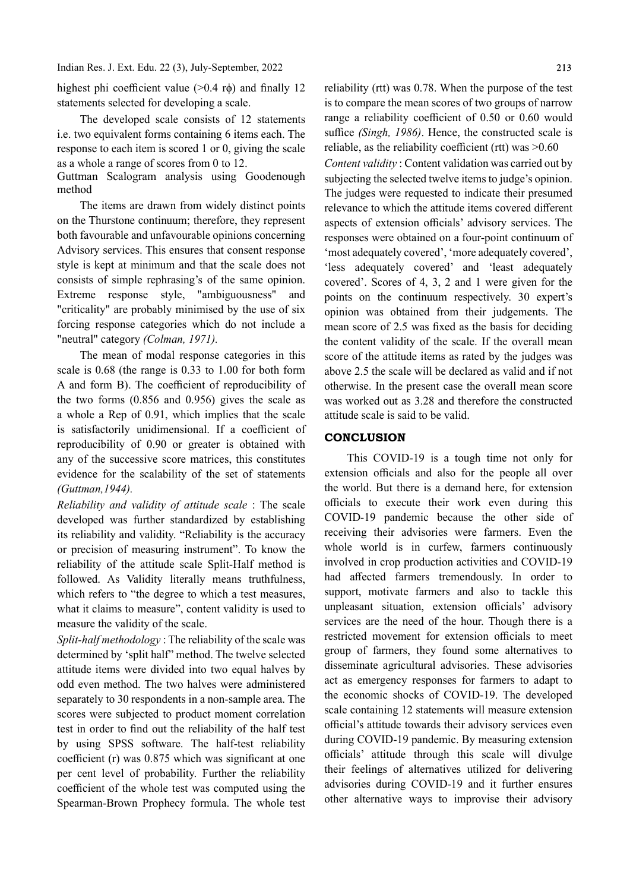Indian Res. J. Ext. Edu. 22 (3), July-September, 2022

highest phi coefficient value  $(>0.4 \text{ r}\phi)$  and finally 12 statements selected for developing a scale.

The developed scale consists of 12 statements i.e. two equivalent forms containing 6 items each. The response to each item is scored 1 or 0, giving the scale as a whole a range of scores from 0 to 12.

Guttman Scalogram analysis using Goodenough method

The items are drawn from widely distinct points on the Thurstone continuum; therefore, they represent both favourable and unfavourable opinions concerning Advisory services. This ensures that consent response style is kept at minimum and that the scale does not consists of simple rephrasing's of the same opinion. Extreme response style, "ambiguousness" and "criticality" are probably minimised by the use of six forcing response categories which do not include a "neutral" category (Colman, 1971).

The mean of modal response categories in this scale is 0.68 (the range is 0.33 to 1.00 for both form A and form B). The coefficient of reproducibility of the two forms (0.856 and 0.956) gives the scale as a whole a Rep of 0.91, which implies that the scale is satisfactorily unidimensional. If a coefficient of reproducibility of 0.90 or greater is obtained with any of the successive score matrices, this constitutes evidence for the scalability of the set of statements (Guttman,1944).

Reliability and validity of attitude scale : The scale developed was further standardized by establishing its reliability and validity. "Reliability is the accuracy or precision of measuring instrument". To know the reliability of the attitude scale Split-Half method is followed. As Validity literally means truthfulness, which refers to "the degree to which a test measures, what it claims to measure", content validity is used to measure the validity of the scale.

Split-half methodology : The reliability of the scale was determined by 'split half" method. The twelve selected attitude items were divided into two equal halves by odd even method. The two halves were administered separately to 30 respondents in a non-sample area. The scores were subjected to product moment correlation test in order to find out the reliability of the half test by using SPSS software. The half-test reliability coefficient (r) was  $0.875$  which was significant at one per cent level of probability. Further the reliability coefficient of the whole test was computed using the Spearman-Brown Prophecy formula. The whole test reliability (rtt) was 0.78. When the purpose of the test is to compare the mean scores of two groups of narrow range a reliability coefficient of 0.50 or 0.60 would suffice (Singh, 1986). Hence, the constructed scale is reliable, as the reliability coefficient (rtt) was  $>0.60$ 

Content validity : Content validation was carried out by subjecting the selected twelve items to judge's opinion. The judges were requested to indicate their presumed relevance to which the attitude items covered different aspects of extension officials' advisory services. The responses were obtained on a four-point continuum of 'most adequately covered', 'more adequately covered', 'less adequately covered' and 'least adequately covered'. Scores of 4, 3, 2 and 1 were given for the points on the continuum respectively. 30 expert's opinion was obtained from their judgements. The mean score of 2.5 was fixed as the basis for deciding the content validity of the scale. If the overall mean score of the attitude items as rated by the judges was above 2.5 the scale will be declared as valid and if not otherwise. In the present case the overall mean score was worked out as 3.28 and therefore the constructed attitude scale is said to be valid.

## **CONCLUSION**

This COVID-19 is a tough time not only for extension officials and also for the people all over the world. But there is a demand here, for extension officials to execute their work even during this COVID-19 pandemic because the other side of receiving their advisories were farmers. Even the whole world is in curfew, farmers continuously involved in crop production activities and COVID-19 had affected farmers tremendously. In order to support, motivate farmers and also to tackle this unpleasant situation, extension officials' advisory services are the need of the hour. Though there is a restricted movement for extension officials to meet group of farmers, they found some alternatives to disseminate agricultural advisories. These advisories act as emergency responses for farmers to adapt to the economic shocks of COVID-19. The developed scale containing 12 statements will measure extension official's attitude towards their advisory services even during COVID-19 pandemic. By measuring extension officials' attitude through this scale will divulge their feelings of alternatives utilized for delivering advisories during COVID-19 and it further ensures other alternative ways to improvise their advisory